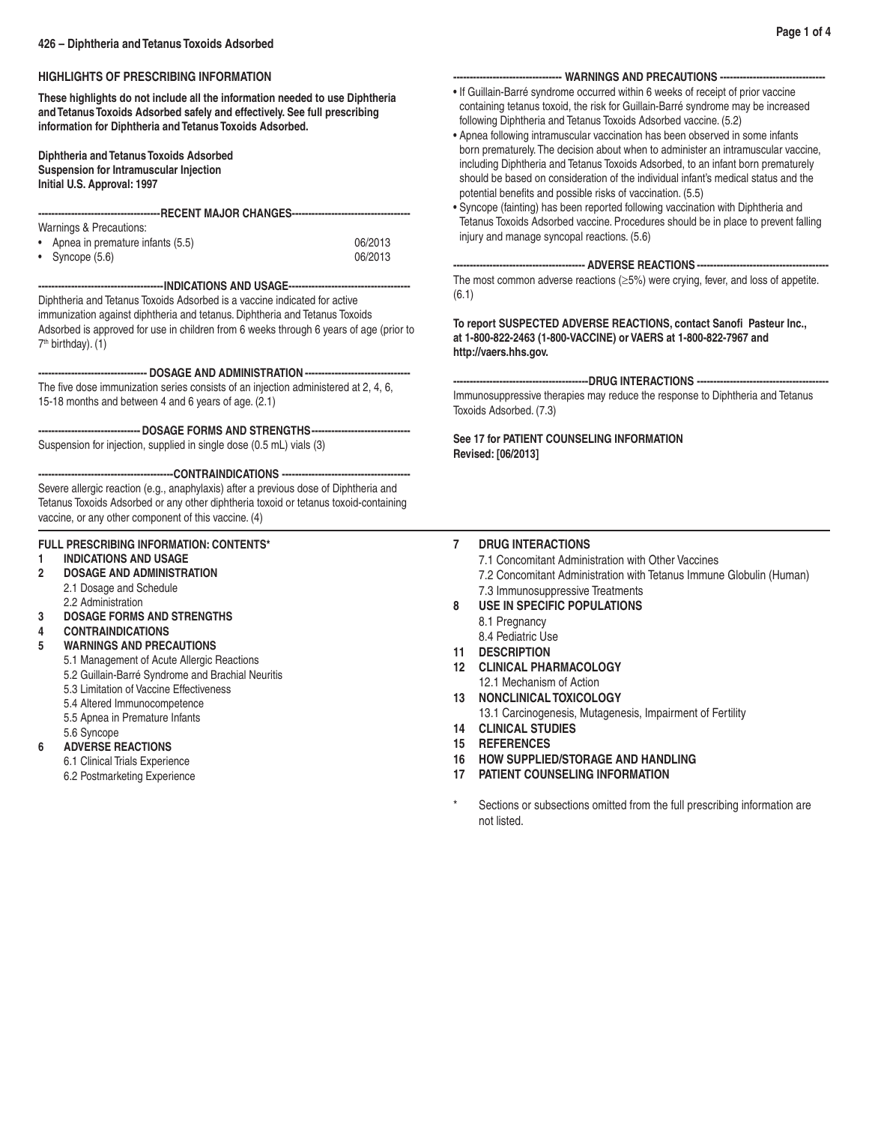# **HIGHLIGHTS OF PRESCRIBING INFORMATION**

**These highlights do not include all the information needed to use Diphtheria and Tetanus Toxoids Adsorbed safely and effectively. See full prescribing information for Diphtheria and Tetanus Toxoids Adsorbed.**

**Diphtheria and Tetanus Toxoids Adsorbed Suspension for Intramuscular Injection Initial U.S. Approval: 1997**

| -----------------------------------RECENT MAJOR CHANGES--------------------------------- |
|------------------------------------------------------------------------------------------|
| Warnings & Precautions:                                                                  |

| • Apnea in premature infants (5.5) | 06/2013 |
|------------------------------------|---------|
| • Syncope $(5.6)$                  | 06/2013 |

## **--------------------------------------INDICATIONS AND USAGE-------------------------------------**

Diphtheria and Tetanus Toxoids Adsorbed is a vaccine indicated for active immunization against diphtheria and tetanus. Diphtheria and Tetanus Toxoids Adsorbed is approved for use in children from 6 weeks through 6 years of age (prior to  $7<sup>th</sup>$  birthday). (1)

**--------------------------------- DOSAGE AND ADMINISTRATION --------------------------------**

The five dose immunization series consists of an injection administered at 2, 4, 6, 15-18 months and between 4 and 6 years of age. (2.1)

**-------------------------------DOSAGE FORMS AND STRENGTHS------------------------------** Suspension for injection, supplied in single dose (0.5 mL) vials (3)

**-----------------------------------------CONTRAINDICATIONS ---------------------------------------**

Severe allergic reaction (e.g., anaphylaxis) after a previous dose of Diphtheria and Tetanus Toxoids Adsorbed or any other diphtheria toxoid or tetanus toxoid-containing vaccine, or any other component of this vaccine. (4)

## **FULL PRESCRIBING INFORMATION: CONTENTS\***

- **1 INDICATIONS AND USAGE**
- **2 DOSAGE AND ADMINISTRATION** 2.1 Dosage and Schedule
- 2.2 Administration<br>2.2 DOSAGE FORMS
- **3 DOSAGE FORMS AND STRENGTHS**
- **4 CONTRAINDICATIONS**

## **5 WARNINGS AND PRECAUTIONS**

- 5.1 Management of Acute Allergic Reactions
- 5.2 Guillain-Barré Syndrome and Brachial Neuritis
- 5.3 Limitation of Vaccine Effectiveness
- 5.4 Altered Immunocompetence
- 5.5 Apnea in Premature Infants
- 5.6 Syncope

## **6 ADVERSE REACTIONS**

- 6.1 Clinical Trials Experience
	- 6.2 Postmarketing Experience

### **--- WARNINGS AND PRECAUTIONS ---**

- If Guillain-Barré syndrome occurred within 6 weeks of receipt of prior vaccine containing tetanus toxoid, the risk for Guillain-Barré syndrome may be increased following Diphtheria and Tetanus Toxoids Adsorbed vaccine. (5.2)
- Apnea following intramuscular vaccination has been observed in some infants born prematurely.The decision about when to administer an intramuscular vaccine, including Diphtheria and Tetanus Toxoids Adsorbed, to an infant born prematurely should be based on consideration of the individual infant's medical status and the potential benefits and possible risks of vaccination. (5.5)
- Syncope (fainting) has been reported following vaccination with Diphtheria and Tetanus Toxoids Adsorbed vaccine. Procedures should be in place to prevent falling injury and manage syncopal reactions. (5.6)

## **---------------------------------------- ADVERSE REACTIONS ----------------------------------------**

The most common adverse reactions  $(\geq 5\%)$  were crying, fever, and loss of appetite. (6.1)

**To report SUSPECTED ADVERSE REACTIONS, contact Sanofi Pasteur Inc., at 1-800-822-2463 (1-800-VACCINE) or VAERS at 1-800-822-7967 and http://vaers.hhs.gov.**

## **-----------------------------------------DRUG INTERACTIONS ----------------------------------------**

Immunosuppressive therapies may reduce the response to Diphtheria and Tetanus Toxoids Adsorbed. (7.3)

## **See 17 for PATIENT COUNSELING INFORMATION Revised: [06/2013]**

## **7 DRUG INTERACTIONS**

 7.1 Concomitant Administration with Other Vaccines

 7.2 Concomitant Administration with Tetanus Immune Globulin (Human) 7.3 Immunosuppressive Treatments

- **8 USE IN SPECIFIC POPULATIONS**
	- 8.1 Pregnancy
	- 8.4 Pediatric Use
- **11 DESCRIPTION**
- **12 CLINICAL PHARMACOLOGY** 12.1 Mechanism of Action
- **13 NONCLINICAL TOXICOLOGY**

 13.1 Carcinogenesis, Mutagenesis, Impairment of Fertility

- **14 CLINICAL STUDIES**
- **15 REFERENCES**
- **16 HOW SUPPLIED/STORAGE AND HANDLING**
- **17 PATIENT COUNSELING INFORMATION**
- Sections or subsections omitted from the full prescribing information are not listed.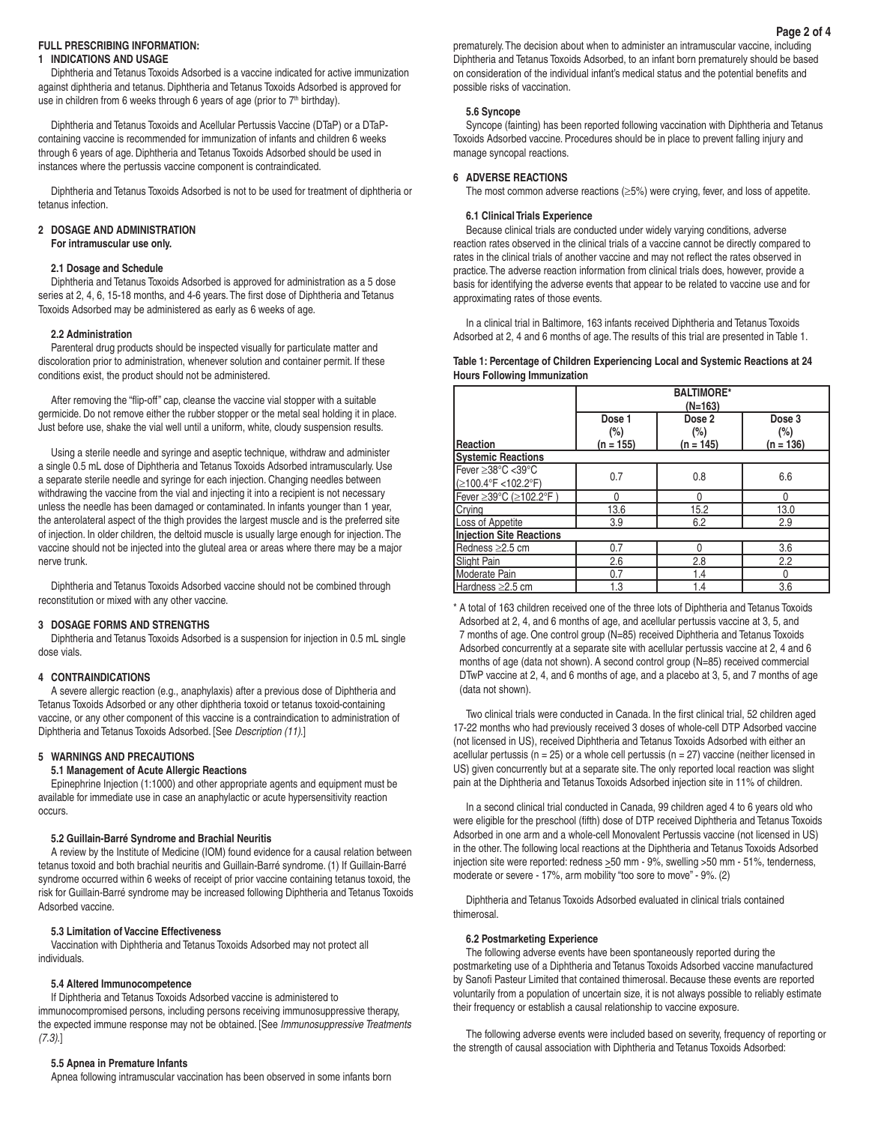## **FULL PRESCRIBING INFORMATION:**

#### **1 INDICATIONS AND USAGE**

 Diphtheria and Tetanus Toxoids Adsorbed is a vaccine indicated for active immunization against diphtheria and tetanus. Diphtheria and Tetanus Toxoids Adsorbed is approved for use in children from 6 weeks through 6 years of age (prior to 7<sup>th</sup> birthday).

 Diphtheria and Tetanus Toxoids and Acellular Pertussis Vaccine (DTaP) or a DTaPcontaining vaccine is recommended for immunization of infants and children 6 weeks through 6 years of age. Diphtheria and Tetanus Toxoids Adsorbed should be used in instances where the pertussis vaccine component is contraindicated.

 Diphtheria and Tetanus Toxoids Adsorbed is not to be used for treatment of diphtheria or tetanus infection.

## **2 DOSAGE AND ADMINISTRATION**

**For intramuscular use only.**

#### **2.1 Dosage and Schedule**

 Diphtheria and Tetanus Toxoids Adsorbed is approved for administration as a 5 dose series at 2, 4, 6, 15-18 months, and 4-6 years.The first dose of Diphtheria and Tetanus Toxoids Adsorbed may be administered as early as 6 weeks of age.

## **2.2 Administration**

 Parenteral drug products should be inspected visually for particulate matter and discoloration prior to administration, whenever solution and container permit. If these conditions exist, the product should not be administered.

 After removing the "flip-off" cap, cleanse the vaccine vial stopper with a suitable germicide. Do not remove either the rubber stopper or the metal seal holding it in place. Just before use, shake the vial well until a uniform, white, cloudy suspension results.

 Using a sterile needle and syringe and aseptic technique, withdraw and administer a single 0.5 mL dose of Diphtheria and Tetanus Toxoids Adsorbed intramuscularly. Use a separate sterile needle and syringe for each injection. Changing needles between withdrawing the vaccine from the vial and injecting it into a recipient is not necessary unless the needle has been damaged or contaminated. In infants younger than 1 year, the anterolateral aspect of the thigh provides the largest muscle and is the preferred site of injection. In older children, the deltoid muscle is usually large enough for injection.The vaccine should not be injected into the gluteal area or areas where there may be a major nerve trunk.

 Diphtheria and Tetanus Toxoids Adsorbed vaccine should not be combined through reconstitution or mixed with any other vaccine.

#### **3 DOSAGE FORMS AND STRENGTHS**

 Diphtheria and Tetanus Toxoids Adsorbed is a suspension for injection in 0.5 mL single dose vials.

#### **4 CONTRAINDICATIONS**

 A severe allergic reaction (e.g., anaphylaxis) after a previous dose of Diphtheria and Tetanus Toxoids Adsorbed or any other diphtheria toxoid or tetanus toxoid-containing vaccine, or any other component of this vaccine is a contraindication to administration of Diphtheria and Tetanus Toxoids Adsorbed. [See *Description (11)*.]

## **5 WARNINGS AND PRECAUTIONS**

## **5.1 Management of Acute Allergic Reactions**

 Epinephrine Injection (1:1000) and other appropriate agents and equipment must be available for immediate use in case an anaphylactic or acute hypersensitivity reaction occurs.

#### **5.2 Guillain-Barré Syndrome and Brachial Neuritis**

 A review by the Institute of Medicine (IOM) found evidence for a causal relation between tetanus toxoid and both brachial neuritis and Guillain-Barré syndrome. (1) If Guillain-Barré syndrome occurred within 6 weeks of receipt of prior vaccine containing tetanus toxoid, the risk for Guillain-Barré syndrome may be increased following Diphtheria and Tetanus Toxoids Adsorbed vaccine.

#### **5.3 Limitation of Vaccine Effectiveness**

 Vaccination with Diphtheria and Tetanus Toxoids Adsorbed may not protect all individuals.

### **5.4 Altered Immunocompetence**

 If Diphtheria and Tetanus Toxoids Adsorbed vaccine is administered to immunocompromised persons, including persons receiving immunosuppressive therapy, the expected immune response may not be obtained. [See *Immunosuppressive Treatments (7.3)*.]

#### **5.5 Apnea in Premature Infants**

 Apnea following intramuscular vaccination has been observed in some infants born

prematurely.The decision about when to administer an intramuscular vaccine, including Diphtheria and Tetanus Toxoids Adsorbed, to an infant born prematurely should be based on consideration of the individual infant's medical status and the potential benefits and possible risks of vaccination.

#### **5.6 Syncope**

 Syncope (fainting) has been reported following vaccination with Diphtheria and Tetanus Toxoids Adsorbed vaccine. Procedures should be in place to prevent falling injury and manage syncopal reactions.

## **6 ADVERSE REACTIONS**

The most common adverse reactions ( $\geq$ 5%) were crying, fever, and loss of appetite.

#### **6.1 Clinical Trials Experience**

 Because clinical trials are conducted under widely varying conditions, adverse reaction rates observed in the clinical trials of a vaccine cannot be directly compared to rates in the clinical trials of another vaccine and may not reflect the rates observed in practice.The adverse reaction information from clinical trials does, however, provide a basis for identifying the adverse events that appear to be related to vaccine use and for approximating rates of those events.

 In a clinical trial in Baltimore, 163 infants received Diphtheria and Tetanus Toxoids Adsorbed at 2, 4 and 6 months of age.The results of this trial are presented in Table 1.

#### **Table 1: Percentage of Children Experiencing Local and Systemic Reactions at 24 Hours Following Immunization**

|                                          | <b>BALTIMORE*</b><br>(N=163)    |                                            |                              |  |  |
|------------------------------------------|---------------------------------|--------------------------------------------|------------------------------|--|--|
| <b>Reaction</b>                          | Dose 1<br>$(\%)$<br>$(n = 155)$ | Dose <sub>2</sub><br>$(\%)$<br>$(n = 145)$ | Dose 3<br>(%)<br>$(n = 136)$ |  |  |
| <b>Systemic Reactions</b>                |                                 |                                            |                              |  |  |
| Fever ≥38°C <39°C<br>(≥100.4°F <102.2°F) | 0.7                             | 0.8                                        | 6.6                          |  |  |
| Fever ≥39°C (≥102.2°F)                   | 0                               | 0                                          | 0                            |  |  |
| Crying                                   | 13.6                            | 15.2                                       | 13.0                         |  |  |
| Loss of Appetite                         | 3.9                             | 6.2                                        | 2.9                          |  |  |
| Injection Site Reactions                 |                                 |                                            |                              |  |  |
| Redness ≥2.5 cm                          | 0.7                             | $\Omega$                                   | 3.6                          |  |  |
| Slight Pain                              | 2.6                             | 2.8                                        | 2.2                          |  |  |
| Moderate Pain                            | 0.7                             | 1.4                                        | 0                            |  |  |
| Hardness ≥2.5 cm                         | 1.3                             | 1.4                                        | 3.6                          |  |  |

\* A total of 163 children received one of the three lots of Diphtheria and Tetanus Toxoids Adsorbed at 2, 4, and 6 months of age, and acellular pertussis vaccine at 3, 5, and 7 months of age. One control group (N=85) received Diphtheria and Tetanus Toxoids Adsorbed concurrently at a separate site with acellular pertussis vaccine at 2, 4 and 6 months of age (data not shown). A second control group (N=85) received commercial DTwP vaccine at 2, 4, and 6 months of age, and a placebo at 3, 5, and 7 months of age (data not shown).

 Two clinical trials were conducted in Canada. In the first clinical trial, 52 children aged 17-22 months who had previously received 3 doses of whole-cell DTP Adsorbed vaccine (not licensed in US), received Diphtheria and Tetanus Toxoids Adsorbed with either an acellular pertussis ( $n = 25$ ) or a whole cell pertussis ( $n = 27$ ) vaccine (neither licensed in US) given concurrently but at a separate site.The only reported local reaction was slight pain at the Diphtheria and Tetanus Toxoids Adsorbed injection site in 11% of children.

 In a second clinical trial conducted in Canada, 99 children aged 4 to 6 years old who were eligible for the preschool (fifth) dose of DTP received Diphtheria and Tetanus Toxoids Adsorbed in one arm and a whole-cell Monovalent Pertussis vaccine (not licensed in US) in the other.The following local reactions at the Diphtheria and Tetanus Toxoids Adsorbed injection site were reported: redness >50 mm - 9%, swelling >50 mm - 51%, tenderness, moderate or severe - 17%, arm mobility "too sore to move" - 9%. (2)

 Diphtheria and Tetanus Toxoids Adsorbed evaluated in clinical trials contained thimerosal.

#### **6.2 Postmarketing Experience**

 The following adverse events have been spontaneously reported during the postmarketing use of a Diphtheria and Tetanus Toxoids Adsorbed vaccine manufactured by Sanofi Pasteur Limited that contained thimerosal. Because these events are reported voluntarily from a population of uncertain size, it is not always possible to reliably estimate their frequency or establish a causal relationship to vaccine exposure.

 The following adverse events were included based on severity, frequency of reporting or the strength of causal association with Diphtheria and Tetanus Toxoids Adsorbed: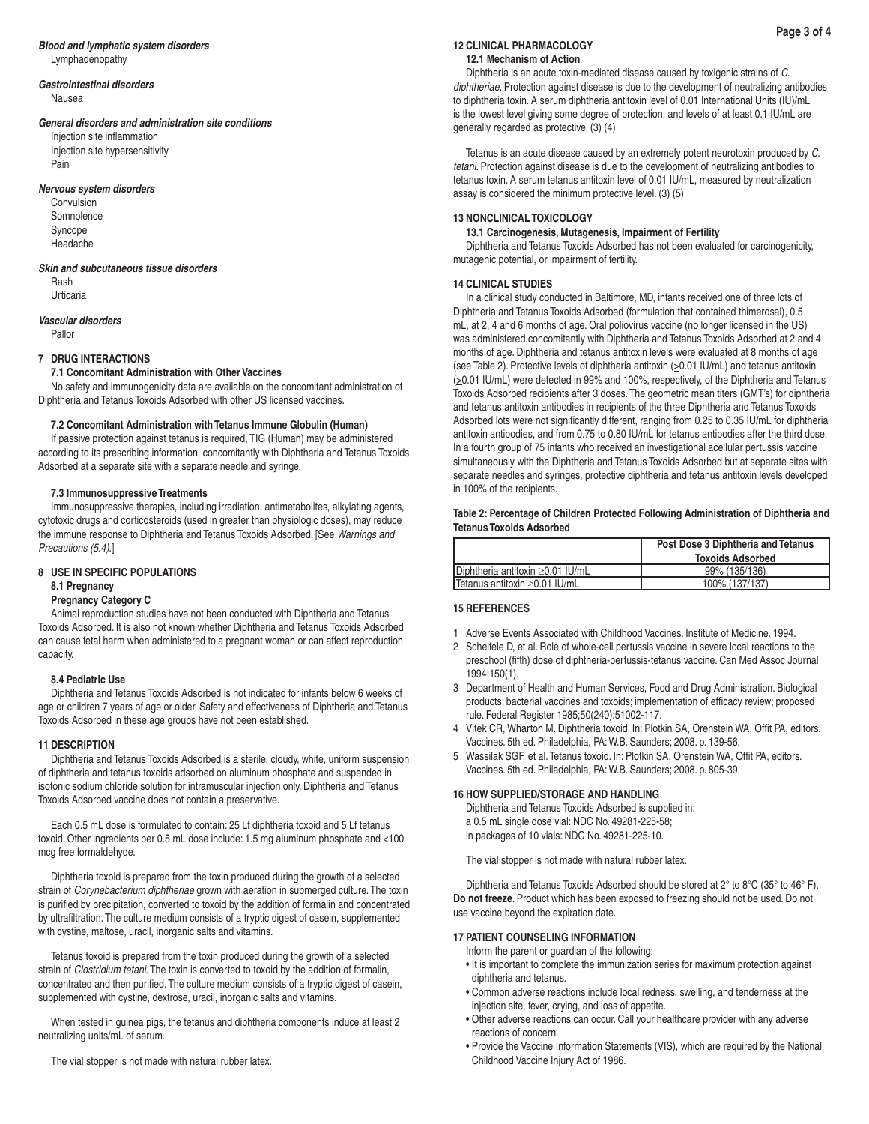#### *Blood and lymphatic system disorders* Lymphadenopathy

## *Gastrointestinal disorders*

 Nausea

### *General disorders and administration site conditions*

 Injection site inflammation Injection site hypersensitivity Pain

### *Nervous system disorders*

 Convulsion **Somnolence**  Syncope Headache

### *Skin and subcutaneous tissue disorders*

 Rash Urticaria

## *Vascular disorders*

 Pallor

## **7 DRUG INTERACTIONS**

## **7.1 Concomitant Administration with Other Vaccines**

 No safety and immunogenicity data are available on the concomitant administration of Diphtheria and Tetanus Toxoids Adsorbed with other US licensed vaccines.

## **7.2 Concomitant Administration with Tetanus Immune Globulin (Human)**

 If passive protection against tetanus is required, TIG (Human) may be administered according to its prescribing information, concomitantly with Diphtheria and Tetanus Toxoids Adsorbed at a separate site with a separate needle and syringe.

## **7.3 Immunosuppressive Treatments**

 Immunosuppressive therapies, including irradiation, antimetabolites, alkylating agents, cytotoxic drugs and corticosteroids (used in greater than physiologic doses), may reduce the immune response to Diphtheria and Tetanus Toxoids Adsorbed. [See *Warnings and Precautions (5.4)*.]

## **8 USE IN SPECIFIC POPULATIONS**

## **8.1 Pregnancy**

# **Pregnancy Category C**

 Animal reproduction studies have not been conducted with Diphtheria and Tetanus Toxoids Adsorbed. It is also not known whether Diphtheria and Tetanus Toxoids Adsorbed can cause fetal harm when administered to a pregnant woman or can affect reproduction capacity.

## **8.4 Pediatric Use**

 Diphtheria and Tetanus Toxoids Adsorbed is not indicated for infants below 6 weeks of age or children 7 years of age or older. Safety and effectiveness of Diphtheria and Tetanus Toxoids Adsorbed in these age groups have not been established.

## **11 DESCRIPTION**

 Diphtheria and Tetanus Toxoids Adsorbed is a sterile, cloudy, white, uniform suspension of diphtheria and tetanus toxoids adsorbed on aluminum phosphate and suspended in isotonic sodium chloride solution for intramuscular injection only. Diphtheria and Tetanus Toxoids Adsorbed vaccine does not contain a preservative.

 Each 0.5 mL dose is formulated to contain: 25 Lf diphtheria toxoid and 5 Lf tetanus toxoid. Other ingredients per 0.5 mL dose include: 1.5 mg aluminum phosphate and <100 mcg free formaldehyde.

 Diphtheria toxoid is prepared from the toxin produced during the growth of a selected strain of *Corynebacterium diphtheriae* grown with aeration in submerged culture.The toxin is purified by precipitation, converted to toxoid by the addition of formalin and concentrated by ultrafiltration.The culture medium consists of a tryptic digest of casein, supplemented with cystine, maltose, uracil, inorganic salts and vitamins.

 Tetanus toxoid is prepared from the toxin produced during the growth of a selected strain of *Clostridium tetani*.The toxin is converted to toxoid by the addition of formalin, concentrated and then purified.The culture medium consists of a tryptic digest of casein, supplemented with cystine, dextrose, uracil, inorganic salts and vitamins.

 When tested in guinea pigs, the tetanus and diphtheria components induce at least 2 neutralizing units/mL of serum.

 The vial stopper is not made with natural rubber latex.

#### **12 CLINICAL PHARMACOLOGY 12.1 Mechanism of Action**

## Diphtheria is an acute toxin-mediated disease caused by toxigenic strains of *C. diphtheriae*. Protection against disease is due to the development of neutralizing antibodies to diphtheria toxin. A serum diphtheria antitoxin level of 0.01 International Units (IU)/mL is the lowest level giving some degree of protection, and levels of at least 0.1 IU/mL are generally regarded as protective. (3) (4)

 Tetanus is an acute disease caused by an extremely potent neurotoxin produced by *C. tetani*. Protection against disease is due to the development of neutralizing antibodies to tetanus toxin. A serum tetanus antitoxin level of 0.01 IU/mL, measured by neutralization assay is considered the minimum protective level. (3) (5)

## **13 NONCLINICAL TOXICOLOGY**

## **13.1 Carcinogenesis, Mutagenesis, Impairment of Fertility**

 Diphtheria and Tetanus Toxoids Adsorbed has not been evaluated for carcinogenicity, mutagenic potential, or impairment of fertility.

## **14 CLINICAL STUDIES**

 In a clinical study conducted in Baltimore, MD, infants received one of three lots of Diphtheria and Tetanus Toxoids Adsorbed (formulation that contained thimerosal), 0.5 mL, at 2, 4 and 6 months of age. Oral poliovirus vaccine (no longer licensed in the US) was administered concomitantly with Diphtheria and Tetanus Toxoids Adsorbed at 2 and 4 months of age. Diphtheria and tetanus antitoxin levels were evaluated at 8 months of age (see Table 2). Protective levels of diphtheria antitoxin ( $\geq$ 0.01 IU/mL) and tetanus antitoxin ( $\geq$ 0.01 IU/mL) were detected in 99% and 100%, respectively, of the Diphtheria and Tetanus Toxoids Adsorbed recipients after 3 doses.The geometric mean titers (GMT's) for diphtheria and tetanus antitoxin antibodies in recipients of the three Diphtheria and Tetanus Toxoids Adsorbed lots were not significantly different, ranging from 0.25 to 0.35 IU/mL for diphtheria antitoxin antibodies, and from 0.75 to 0.80 IU/mL for tetanus antibodies after the third dose. In a fourth group of 75 infants who received an investigational acellular pertussis vaccine simultaneously with the Diphtheria and Tetanus Toxoids Adsorbed but at separate sites with separate needles and syringes, protective diphtheria and tetanus antitoxin levels developed in 100% of the recipients.

## **Table 2: Percentage of Children Protected Following Administration of Diphtheria and Tetanus Toxoids Adsorbed**

|                                        | Post Dose 3 Diphtheria and Tetanus<br><b>Toxoids Adsorbed</b> |
|----------------------------------------|---------------------------------------------------------------|
| Diphtheria antitoxin $\geq$ 0.01 IU/mL | 99% (135/136)                                                 |
| Tetanus antitoxin $\geq$ 0.01 IU/mL    | 100% (137/137)                                                |

## **15 REFERENCES**

- 1 Adverse Events Associated with Childhood Vaccines. Institute of Medicine. 1994.
- 2 Scheifele D, et al. Role of whole-cell pertussis vaccine in severe local reactions to the preschool (fifth) dose of diphtheria-pertussis-tetanus vaccine. Can Med Assoc Journal 1994;150(1).
- 3 Department of Health and Human Services, Food and Drug Administration. Biological products; bacterial vaccines and toxoids; implementation of efficacy review; proposed rule. Federal Register 1985;50(240):51002-117.
- 4 Vitek CR, Wharton M. Diphtheria toxoid. In: Plotkin SA, Orenstein WA, Offit PA, editors. Vaccines. 5th ed. Philadelphia, PA:W.B. Saunders; 2008. p. 139-56.
- 5 Wassilak SGF, et al.Tetanus toxoid. In: Plotkin SA, Orenstein WA, Offit PA, editors. Vaccines. 5th ed. Philadelphia, PA:W.B. Saunders; 2008. p. 805-39.

### **16 HOW SUPPLIED/STORAGE AND HANDLING**

 Diphtheria and Tetanus Toxoids Adsorbed is supplied in: a 0.5 mL single dose vial: NDC No. 49281-225-58; in packages of 10 vials: NDC No. 49281-225-10.

 The vial stopper is not made with natural rubber latex.

 Diphtheria and Tetanus Toxoids Adsorbed should be stored at 2° to 8°C (35° to 46° F). **Do not freeze**. Product which has been exposed to freezing should not be used. Do not use vaccine beyond the expiration date.

## **17 PATIENT COUNSELING INFORMATION**

- Inform the parent or guardian of the following:
- It is important to complete the immunization series for maximum protection against diphtheria and tetanus.
- Common adverse reactions include local redness, swelling, and tenderness at the injection site, fever, crying, and loss of appetite.
- Other adverse reactions can occur. Call your healthcare provider with any adverse reactions of concern.
- Provide the Vaccine Information Statements (VIS), which are required by the National Childhood Vaccine Injury Act of 1986.